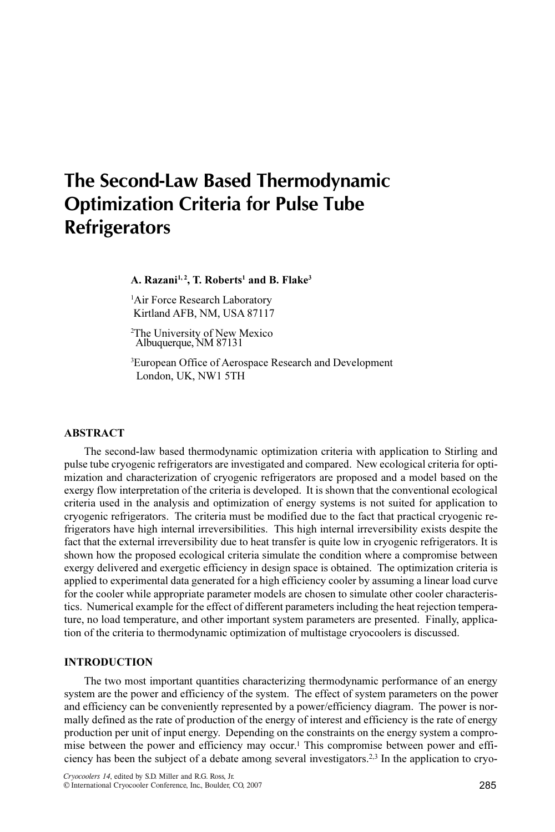# The Second-Law Based Thermodynamic Optimization Criteria for Pulse Tube **Refrigerators**

A. Razani<sup>1, 2</sup>, T. Roberts<sup>1</sup> and B. Flake<sup>3</sup>

<sup>1</sup>Air Force Research Laboratory Kirtland AFB, NM, USA 87117

2 The University of New Mexico Albuquerque, NM 87131

<sup>3</sup>European Office of Aerospace Research and Development London, UK, NW1 5TH

#### ABSTRACT

The second-law based thermodynamic optimization criteria with application to Stirling and pulse tube cryogenic refrigerators are investigated and compared. New ecological criteria for optimization and characterization of cryogenic refrigerators are proposed and a model based on the exergy flow interpretation of the criteria is developed. It is shown that the conventional ecological criteria used in the analysis and optimization of energy systems is not suited for application to cryogenic refrigerators. The criteria must be modified due to the fact that practical cryogenic refrigerators have high internal irreversibilities. This high internal irreversibility exists despite the fact that the external irreversibility due to heat transfer is quite low in cryogenic refrigerators. It is shown how the proposed ecological criteria simulate the condition where a compromise between exergy delivered and exergetic efficiency in design space is obtained. The optimization criteria is applied to experimental data generated for a high efficiency cooler by assuming a linear load curve for the cooler while appropriate parameter models are chosen to simulate other cooler characteristics. Numerical example for the effect of different parameters including the heat rejection temperature, no load temperature, and other important system parameters are presented. Finally, application of the criteria to thermodynamic optimization of multistage cryocoolers is discussed.

# **INTRODUCTION**

The two most important quantities characterizing thermodynamic performance of an energy system are the power and efficiency of the system. The effect of system parameters on the power and efficiency can be conveniently represented by a power/efficiency diagram. The power is normally defined as the rate of production of the energy of interest and efficiency is the rate of energy production per unit of input energy. Depending on the constraints on the energy system a compromise between the power and efficiency may occur.1 This compromise between power and efficiency has been the subject of a debate among several investigators.2,3 In the application to cryo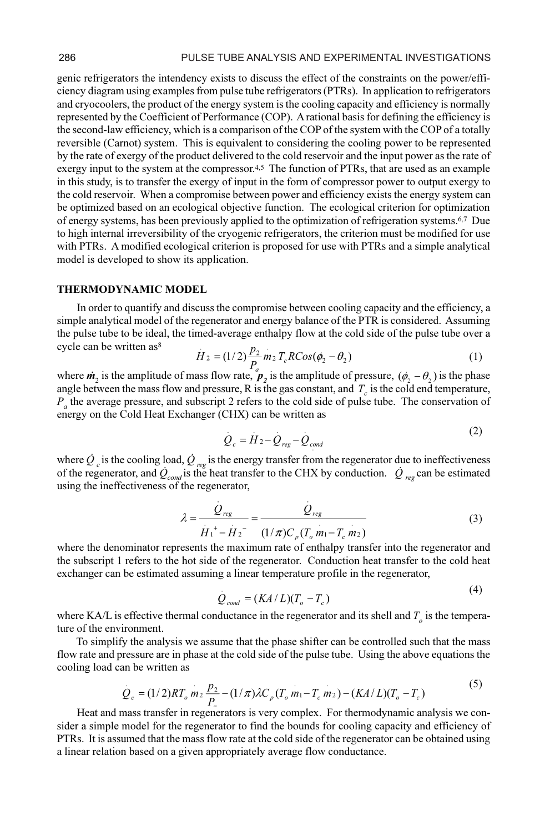genic refrigerators the intendency exists to discuss the effect of the constraints on the power/efficiency diagram using examples from pulse tube refrigerators (PTRs). In application to refrigerators and cryocoolers, the product of the energy system is the cooling capacity and efficiency is normally represented by the Coefficient of Performance (COP). A rational basis for defining the efficiency is the second-law efficiency, which is a comparison of the COP of the system with the COP of a totally reversible (Carnot) system. This is equivalent to considering the cooling power to be represented by the rate of exergy of the product delivered to the cold reservoir and the input power as the rate of exergy input to the system at the compressor.<sup>4,5</sup> The function of PTRs, that are used as an example in this study, is to transfer the exergy of input in the form of compressor power to output exergy to the cold reservoir. When a compromise between power and efficiency exists the energy system can be optimized based on an ecological objective function. The ecological criterion for optimization of energy systems, has been previously applied to the optimization of refrigeration systems.6,7 Due to high internal irreversibility of the cryogenic refrigerators, the criterion must be modified for use with PTRs. A modified ecological criterion is proposed for use with PTRs and a simple analytical model is developed to show its application.

#### THERMODYNAMIC MODEL

In order to quantify and discuss the compromise between cooling capacity and the efficiency, a simple analytical model of the regenerator and energy balance of the PTR is considered. Assuming the pulse tube to be ideal, the timed-average enthalpy flow at the cold side of the pulse tube over a cycle can be written as<sup>8</sup>

$$
H_2 = (1/2)\frac{P_2}{P_a} m_2 T_c R Cos(\phi_2 - \theta_2)
$$
 (1)

where  $\dot{m}_2$  is the amplitude of mass flow rate,  $\dot{p}_2$  is the amplitude of pressure,  $(\phi_2 - \theta_2)$  is the phase angle between the mass flow and pressure, R is the gas constant, and  $T_c$  is the cold end temperature,  $P_c$  the average pressure, and subscript 2 refers to the cold side of pulse tube. The conservation of  $P_a$  the average pressure, and subscript 2 refers to the cold side of pulse tube. The conservation of energy on the Cold Heat Exchanger (CHX) can be written as

$$
Q_c = H_2 - Q_{reg} - Q_{cond}
$$

 $(2)$ 

where  $Q_c$  is the cooling load,  $Q_{reg}$  is the energy transfer from the regenerator due to ineffectiveness of the regenerator, and  $\dot{Q}_{cond}$  is the heat transfer to the CHX by conduction.  $\dot{Q}_{reg}$  can be estimated using the ineffectiveness of the regenerator,

$$
\lambda = \frac{Q_{reg}}{\dot{H}_1^+ - \dot{H}_2^-} = \frac{Q_{reg}}{(1/\pi)C_p(T_o m_1 - T_c m_2)}
$$
(3)

where the denominator represents the maximum rate of enthalpy transfer into the regenerator and the subscript 1 refers to the hot side of the regenerator. Conduction heat transfer to the cold heat exchanger can be estimated assuming a linear temperature profile in the regenerator,

$$
Q_{cond} = (KA/L)(T_o - T_c)
$$
\n(4)

where KA/L is effective thermal conductance in the regenerator and its shell and  $T_o$  is the temperature of the environment.

To simplify the analysis we assume that the phase shifter can be controlled such that the mass flow rate and pressure are in phase at the cold side of the pulse tube. Using the above equations the cooling load can be written as

$$
Q_c = (1/2)RT_o \, m_2 \, \frac{p_2}{P_a} - (1/\pi)\lambda C_p (T_o \, m_1 - T_c \, m_2) - (KA/L)(T_o - T_c)
$$
\n<sup>(5)</sup>

Heat and mass transfer in regenerators is very complex. For thermodynamic analysis we consider a simple model for the regenerator to find the bounds for cooling capacity and efficiency of PTRs. It is assumed that the mass flow rate at the cold side of the regenerator can be obtained using a linear relation based on a given appropriately average flow conductance.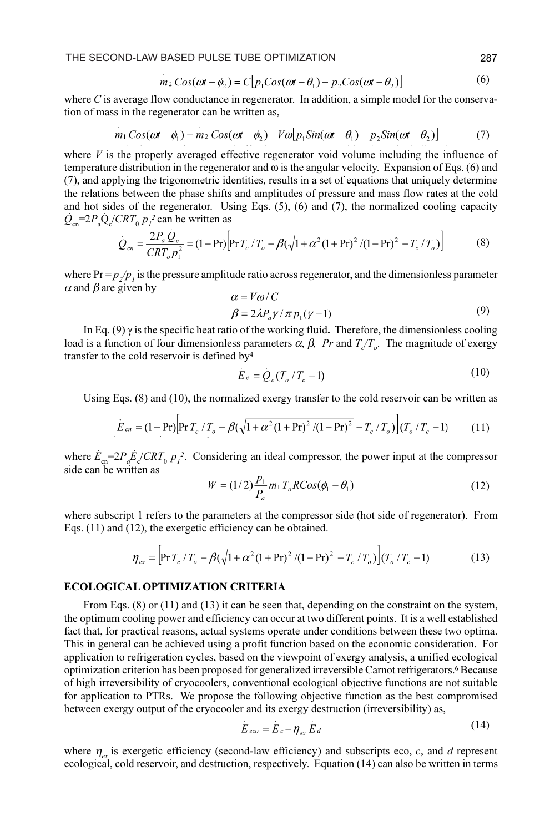THE SECOND-LAW BASED PULSE TUBE OPTIMIZATION 287

$$
m_2 \cos(\omega t - \phi_2) = C \big[ p_1 \cos(\omega t - \theta_1) - p_2 \cos(\omega t - \theta_2) \big] \tag{6}
$$

where C is average flow conductance in regenerator. In addition, a simple model for the conservation of mass in the regenerator can be written as,

$$
m_1 \cos(\omega t - \phi_1) = m_2 \cos(\omega t - \phi_2) - V\omega \left[ p_1 \sin(\omega t - \theta_1) + p_2 \sin(\omega t - \theta_2) \right]
$$
(7)

where  $V$  is the properly averaged effective regenerator void volume including the influence of temperature distribution in the regenerator and  $\omega$  is the angular velocity. Expansion of Eqs. (6) and (7), and applying the trigonometric identities, results in a set of equations that uniquely determine the relations between the phase shifts and amplitudes of pressure and mass flow rates at the cold and hot sides of the regenerator. Using Eqs.  $(5)$ ,  $(6)$  and  $(7)$ , the normalized cooling capacity  $\dot{Q}_{\text{cn}} = 2P_{\text{a}}\dot{Q}_{\text{c}}/CRT_{0} p_{1}^{2}$  can be written as

$$
\dot{Q}_{cn} = \frac{2P_a Q_c}{CRT_o p_1^2} = (1 - Pr) \Big[ Pr T_c / T_o - \beta (\sqrt{1 + \alpha^2 (1 + Pr)^2 / (1 - Pr)^2} - T_c / T_o) \Big] \tag{8}
$$

where  $Pr = p<sub>2</sub>/p<sub>1</sub>$  is the pressure amplitude ratio across regenerator, and the dimensionless parameter  $\alpha$  and  $\beta$  are given by  $V \circ I$ C

$$
\alpha = V \omega / C
$$
  
\n
$$
\beta = 2\lambda P_a \gamma / \pi p_1 (\gamma - 1)
$$
\n(9)

In Eq. (9)  $\gamma$  is the specific heat ratio of the working fluid. Therefore, the dimensionless cooling load is a function of four dimensionless parameters  $\alpha$ ,  $\beta$ , Pr and  $T_c/T_o$ . The magnitude of exergy transfer to the cold reservoir is defined by4

$$
E_c = Q_c (T_o / T_c - 1) \tag{10}
$$

Using Eqs. (8) and (10), the normalized exergy transfer to the cold reservoir can be written as

$$
E_{cn} = (1 - \Pr) \Big[ \Pr{T_c / T_o} - \beta (\sqrt{1 + \alpha^2 (1 + \Pr)^2 / (1 - \Pr)^2} - T_c / T_o) \Big] (T_o / T_c - 1) \tag{11}
$$

where  $\dot{E}_{\text{cn}} = 2P_a \dot{E}_c/CRT_0 p_l^2$ . Considering an ideal compressor, the power input at the compressor side can be written as

$$
W = (1/2) \frac{p_1}{P_a} m_1 T_o R Cos(\phi_1 - \theta_1)
$$
 (12)

where subscript 1 refers to the parameters at the compressor side (hot side of regenerator). From Eqs. (11) and (12), the exergetic efficiency can be obtained.

$$
\eta_{ex} = \left[ \Pr{T_c} / T_o - \beta (\sqrt{1 + \alpha^2 (1 + \Pr)^2 / (1 - \Pr)^2} - T_c / T_o) \right] (T_o / T_c - 1)
$$
(13)

## ECOLOGICAL OPTIMIZATION CRITERIA

From Eqs. (8) or (11) and (13) it can be seen that, depending on the constraint on the system, the optimum cooling power and efficiency can occur at two different points. It is a well established fact that, for practical reasons, actual systems operate under conditions between these two optima. This in general can be achieved using a profit function based on the economic consideration. For application to refrigeration cycles, based on the viewpoint of exergy analysis, a unified ecological optimization criterion has been proposed for generalized irreversible Carnot refrigerators.6 Because of high irreversibility of cryocoolers, conventional ecological objective functions are not suitable for application to PTRs. We propose the following objective function as the best compromised between exergy output of the cryocooler and its exergy destruction (irreversibility) as,

$$
E_{eco} = E_c - \eta_{ex} E_d \tag{14}
$$

where  $\eta_{\alpha}$  is exergetic efficiency (second-law efficiency) and subscripts eco, c, and d represent ecological, cold reservoir, and destruction, respectively. Equation (14) can also be written in terms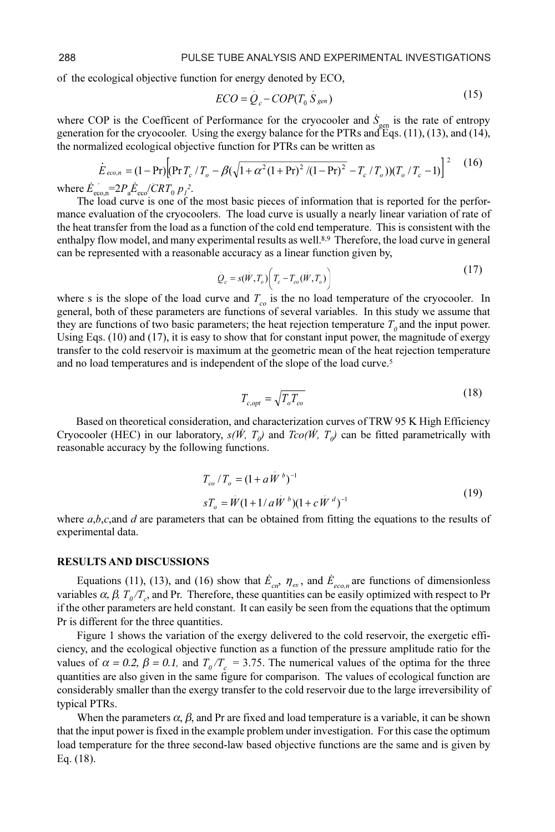of the ecological objective function for energy denoted by ECO,

$$
ECO = Q_c - COP(T_0 S_{gen})
$$
 (15)

 $(15)$ 

where COP is the Coefficent of Performance for the cryocooler and  $\dot{S}_{gen}$  is the rate of entropy<br>generation for the cryocooler Using the exergy balance for the PTRs and Eqs. (11) (13) and (14) generation for the cryocooler. Using the exergy balance for the PTRs and Eqs. (11), (13), and (14), the normalized ecological objective function for PTRs can be written as

$$
\dot{E}_{eco,n} = (1 - \Pr) \Big[ (\Pr T_c / T_o - \beta (\sqrt{1 + \alpha^2 (1 + \Pr)^2 / (1 - \Pr)^2} - T_c / T_o)) (T_o / T_c - 1) \Big]^2 \tag{16}
$$

where  $\dot{E}_{\text{econ}} = 2P_a \dot{E}_{\text{econ}} / CRT_0 p_l^2$ .<br>The load curve is one of t

The load curve is one of the most basic pieces of information that is reported for the performance evaluation of the cryocoolers. The load curve is usually a nearly linear variation of rate of the heat transfer from the load as a function of the cold end temperature. This is consistent with the enthalpy flow model, and many experimental results as well.<sup>8,9</sup> Therefore, the load curve in general can be represented with a reasonable accuracy as a linear function given by,

$$
Q_c = s(\dot{W}, T_o) \bigg( T_c - T_{co}(\dot{W}, T_o) \bigg)
$$
\n(17)

where s is the slope of the load curve and  $T_c$  is the no load temperature of the cryocooler. In general, both of these parameters are functions of several variables. In this study we assume that they are functions of two basic parameters; the heat rejection temperature  $T_0$  and the input power. Using Eqs. (10) and (17), it is easy to show that for constant input power, the magnitude of exergy transfer to the cold reservoir is maximum at the geometric mean of the heat rejection temperature and no load temperatures and is independent of the slope of the load curve.<sup>5</sup>

$$
T_{c,opt} = \sqrt{T_o T_{co}} \tag{18}
$$

Based on theoretical consideration, and characterization curves of TRW 95 K High Efficiency Cryocooler (HEC) in our laboratory,  $s(\vec{W}, T_{\rho})$  and  $T_{CO}(\vec{W}, T_{\rho})$  can be fitted parametrically with reasonable accuracy by the following functions.

$$
T_{co}/T_o = (1 + aW^b)^{-1}
$$
  
\n
$$
sT_a = W(1 + 1/aW^b)(1 + cW^d)^{-1}
$$
\n(19)

where  $a, b, c$ , and  $d$  are parameters that can be obtained from fitting the equations to the results of experimental data.

#### RESULTS AND DISCUSSIONS

Equations (11), (13), and (16) show that  $\dot{E}_{cr}$ ,  $\eta_{ex}$ , and  $\dot{E}_{eco,n}$  are functions of dimensionless variables  $\alpha$ ,  $\beta$ ,  $T_o/T_c$ , and Pr. Therefore, these quantities can be easily optimized with respect to Pr if the other parameters are held constant. It can easily be seen from the equations that the optimum Pr is different for the three quantities.

Figure 1 shows the variation of the exergy delivered to the cold reservoir, the exergetic efficiency, and the ecological objective function as a function of the pressure amplitude ratio for the values of  $\alpha = 0.2$ ,  $\beta = 0.1$ , and  $T_0 / T_c = 3.75$ . The numerical values of the optima for the three quantities are also given in the same figure for comparison. The values of ecological function are considerably smaller than the exergy transfer to the cold reservoir due to the large irreversibility of typical PTRs.

When the parameters  $\alpha$ ,  $\beta$ , and Pr are fixed and load temperature is a variable, it can be shown that the input power is fixed in the example problem under investigation. For this case the optimum load temperature for the three second-law based objective functions are the same and is given by Eq. (18).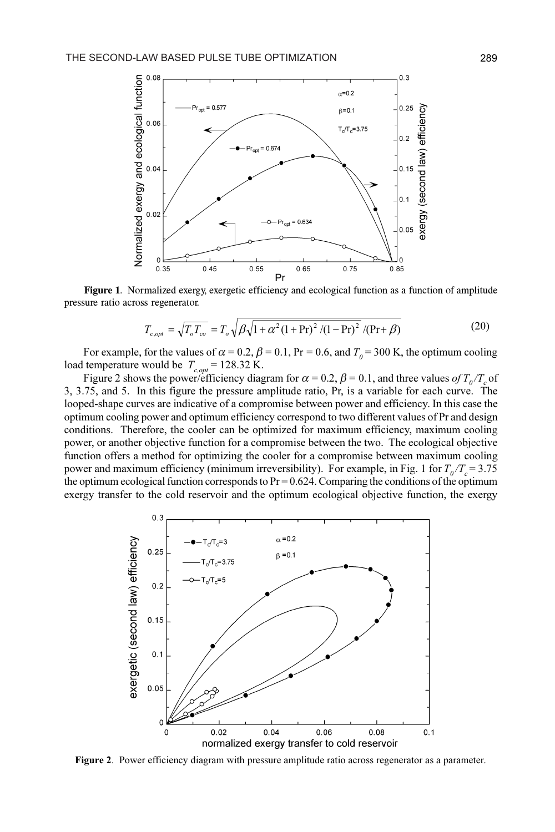

Figure 1. Normalized exergy, exergetic efficiency and ecological function as a function of amplitude pressure ratio across regenerator.

$$
T_{c,opt} = \sqrt{T_o T_{co}} = T_o \sqrt{\beta \sqrt{1 + \alpha^2 (1 + \text{Pr})^2 / (1 - \text{Pr})^2 / (\text{Pr} + \beta)}
$$
(20)

For example, for the values of  $\alpha = 0.2$ ,  $\beta = 0.1$ , Pr = 0.6, and  $T_0 = 300$  K, the optimum cooling load temperature would be  $T_{c,opt} = 128.32$  K.

Figure 2 shows the power/efficiency diagram for  $\alpha = 0.2$ ,  $\beta = 0.1$ , and three values of  $T_0 / T_c$  of 3, 3.75, and 5. In this figure the pressure amplitude ratio, Pr, is a variable for each curve. The looped-shape curves are indicative of a compromise between power and efficiency. In this case the optimum cooling power and optimum efficiency correspond to two different values of Pr and design conditions. Therefore, the cooler can be optimized for maximum efficiency, maximum cooling power, or another objective function for a compromise between the two. The ecological objective function offers a method for optimizing the cooler for a compromise between maximum cooling power and maximum efficiency (minimum irreversibility). For example, in Fig. 1 for  $T_0 / T_c = 3.75$ the optimum ecological function corresponds to  $Pr = 0.624$ . Comparing the conditions of the optimum exergy transfer to the cold reservoir and the optimum ecological objective function, the exergy



Figure 2. Power efficiency diagram with pressure amplitude ratio across regenerator as a parameter.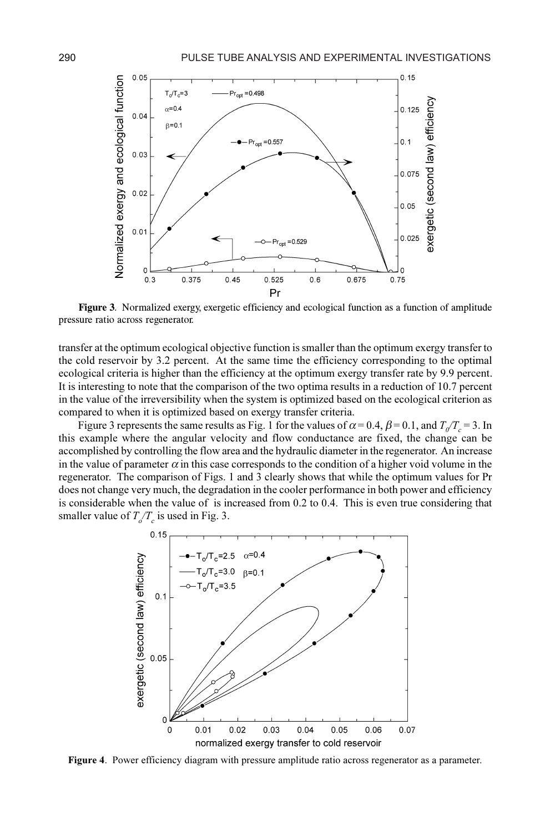

Figure 3. Normalized exergy, exergetic efficiency and ecological function as a function of amplitude pressure ratio across regenerator.

transfer at the optimum ecological objective function is smaller than the optimum exergy transfer to the cold reservoir by 3.2 percent. At the same time the efficiency corresponding to the optimal ecological criteria is higher than the efficiency at the optimum exergy transfer rate by 9.9 percent. It is interesting to note that the comparison of the two optima results in a reduction of 10.7 percent in the value of the irreversibility when the system is optimized based on the ecological criterion as compared to when it is optimized based on exergy transfer criteria.

Figure 3 represents the same results as Fig. 1 for the values of  $\alpha = 0.4$ ,  $\beta = 0.1$ , and  $T_0/T_c = 3$ . In this example where the angular velocity and flow conductance are fixed, the change can be accomplished by controlling the flow area and the hydraulic diameter in the regenerator. An increase in the value of parameter  $\alpha$  in this case corresponds to the condition of a higher void volume in the regenerator. The comparison of Figs. 1 and 3 clearly shows that while the optimum values for Pr does not change very much, the degradation in the cooler performance in both power and efficiency is considerable when the value of is increased from 0.2 to 0.4. This is even true considering that smaller value of  $T_{o}/T_{c}$  is used in Fig. 3.



Figure 4. Power efficiency diagram with pressure amplitude ratio across regenerator as a parameter.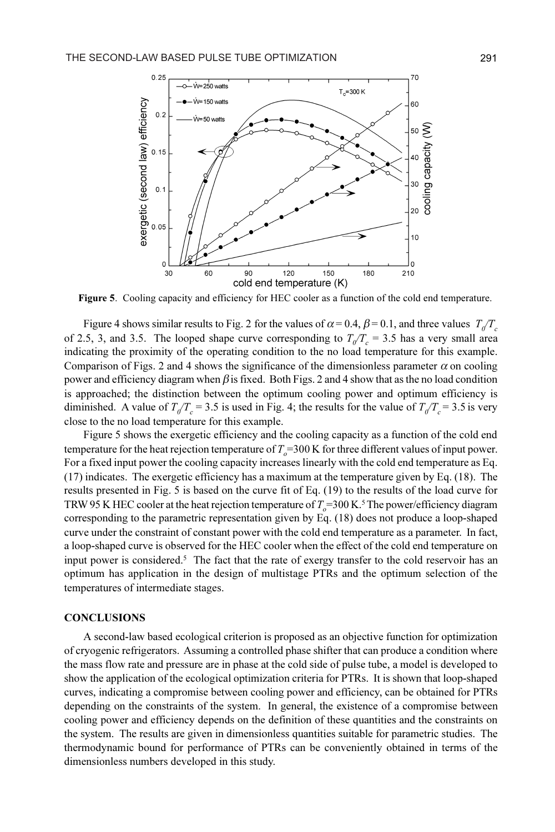

Figure 5. Cooling capacity and efficiency for HEC cooler as a function of the cold end temperature.

Figure 4 shows similar results to Fig. 2 for the values of  $\alpha = 0.4$ ,  $\beta = 0.1$ , and three values  $T_0/T_c$ of 2.5, 3, and 3.5. The looped shape curve corresponding to  $T_q/T_c = 3.5$  has a very small area indicating the proximity of the operating condition to the no load temperature for this example. Comparison of Figs. 2 and 4 shows the significance of the dimensionless parameter  $\alpha$  on cooling power and efficiency diagram when  $\beta$  is fixed. Both Figs. 2 and 4 show that as the no load condition is approached; the distinction between the optimum cooling power and optimum efficiency is diminished. A value of  $T_q/T_c = 3.5$  is used in Fig. 4; the results for the value of  $T_q/T_c = 3.5$  is very close to the no load temperature for this example.

Figure 5 shows the exergetic efficiency and the cooling capacity as a function of the cold end temperature for the heat rejection temperature of  $T<sub>o</sub>$  = 300 K for three different values of input power. For a fixed input power the cooling capacity increases linearly with the cold end temperature as Eq. (17) indicates. The exergetic efficiency has a maximum at the temperature given by Eq. (18). The results presented in Fig. 5 is based on the curve fit of Eq. (19) to the results of the load curve for TRW 95 K HEC cooler at the heat rejection temperature of  $T_o$ =300 K.<sup>5</sup> The power/efficiency diagram corresponding to the parametric representation given by Eq. (18) does not produce a loop-shaped curve under the constraint of constant power with the cold end temperature as a parameter. In fact, a loop-shaped curve is observed for the HEC cooler when the effect of the cold end temperature on input power is considered.5 The fact that the rate of exergy transfer to the cold reservoir has an optimum has application in the design of multistage PTRs and the optimum selection of the temperatures of intermediate stages.

#### **CONCLUSIONS**

A second-law based ecological criterion is proposed as an objective function for optimization of cryogenic refrigerators. Assuming a controlled phase shifter that can produce a condition where the mass flow rate and pressure are in phase at the cold side of pulse tube, a model is developed to show the application of the ecological optimization criteria for PTRs. It is shown that loop-shaped curves, indicating a compromise between cooling power and efficiency, can be obtained for PTRs depending on the constraints of the system. In general, the existence of a compromise between cooling power and efficiency depends on the definition of these quantities and the constraints on the system. The results are given in dimensionless quantities suitable for parametric studies. The thermodynamic bound for performance of PTRs can be conveniently obtained in terms of the dimensionless numbers developed in this study.